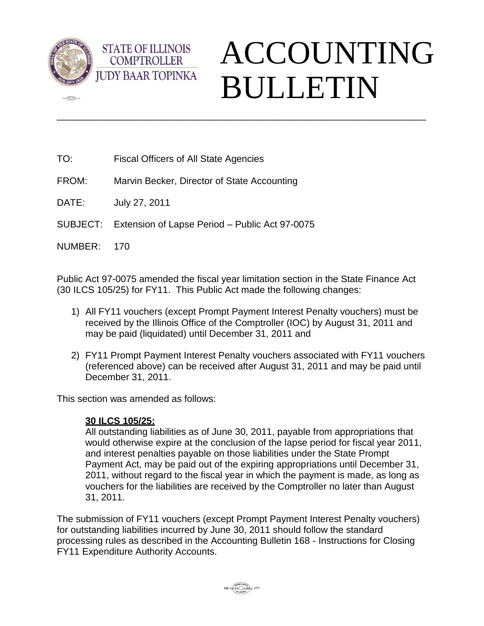

 $\sqrt{2}$ 

## ACCOUNTING BULLETIN

TO: Fiscal Officers of All State Agencies

**STATE OF ILLINOIS COMPTROLLER** 

- FROM: Marvin Becker, Director of State Accounting
- DATE: July 27, 2011
- SUBJECT: Extension of Lapse Period Public Act 97-0075

NUMBER: 170

Public Act 97-0075 amended the fiscal year limitation section in the State Finance Act (30 ILCS 105/25) for FY11. This Public Act made the following changes:

\_\_\_\_\_\_\_\_\_\_\_\_\_\_\_\_\_\_\_\_\_\_\_\_\_\_\_\_\_\_\_\_\_\_\_\_\_\_\_\_\_\_\_\_\_\_\_\_\_\_\_\_\_\_\_\_\_\_\_\_\_\_\_\_\_\_\_\_\_\_

- 1) All FY11 vouchers (except Prompt Payment Interest Penalty vouchers) must be received by the Illinois Office of the Comptroller (IOC) by August 31, 2011 and may be paid (liquidated) until December 31, 2011 and
- 2) FY11 Prompt Payment Interest Penalty vouchers associated with FY11 vouchers (referenced above) can be received after August 31, 2011 and may be paid until December 31, 2011.

This section was amended as follows:

## **30 ILCS 105/25:**

All outstanding liabilities as of June 30, 2011, payable from appropriations that would otherwise expire at the conclusion of the lapse period for fiscal year 2011, and interest penalties payable on those liabilities under the State Prompt Payment Act, may be paid out of the expiring appropriations until December 31, 2011, without regard to the fiscal year in which the payment is made, as long as vouchers for the liabilities are received by the Comptroller no later than August 31, 2011.

The submission of FY11 vouchers (except Prompt Payment Interest Penalty vouchers) for outstanding liabilities incurred by June 30, 2011 should follow the standard processing rules as described in the Accounting Bulletin 168 - Instructions for Closing FY11 Expenditure Authority Accounts.